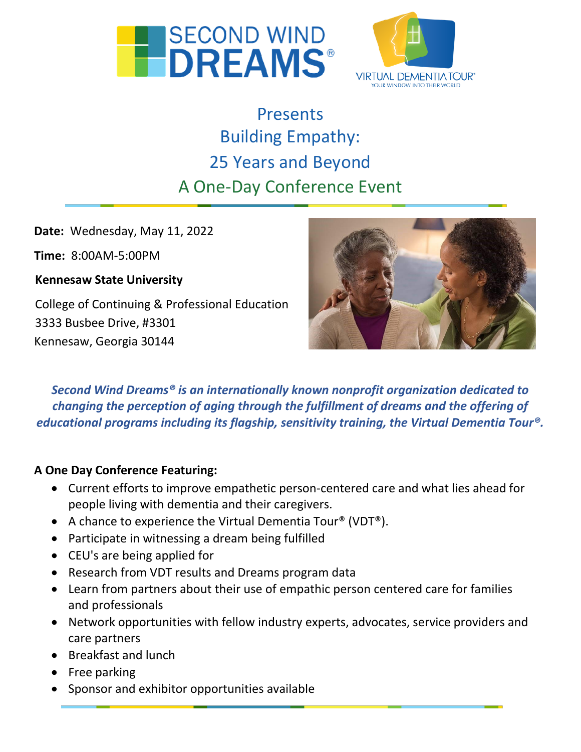



# Presents Building Empathy: 25 Years and Beyond A One-Day Conference Event

**Date:** Wednesday, May 11, 2022

**Time:** 8:00AM-5:00PM

**Kennesaw State University** 

College of Continuing & Professional Education 3333 Busbee Drive, #3301 Kennesaw, Georgia 30144



*Second Wind Dreams® is an internationally known nonprofit organization dedicated to changing the perception of aging through the fulfillment of dreams and the offering of educational programs including its flagship, sensitivity training, the Virtual Dementia Tour®.*

#### **A One Day Conference Featuring:**

- Current efforts to improve empathetic person-centered care and what lies ahead for people living with dementia and their caregivers.
- A chance to experience the Virtual Dementia Tour® (VDT®).
- Participate in witnessing a dream being fulfilled
- CEU's are being applied for
- Research from VDT results and Dreams program data
- Learn from partners about their use of empathic person centered care for families and professionals
- Network opportunities with fellow industry experts, advocates, service providers and care partners
- Breakfast and lunch
- Free parking
- Sponsor and exhibitor opportunities available